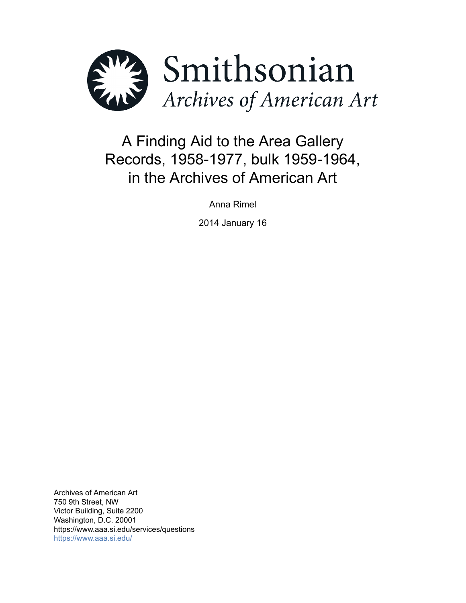

# A Finding Aid to the Area Gallery Records, 1958-1977, bulk 1959-1964, in the Archives of American Art

Anna Rimel

2014 January 16

Archives of American Art 750 9th Street, NW Victor Building, Suite 2200 Washington, D.C. 20001 https://www.aaa.si.edu/services/questions <https://www.aaa.si.edu/>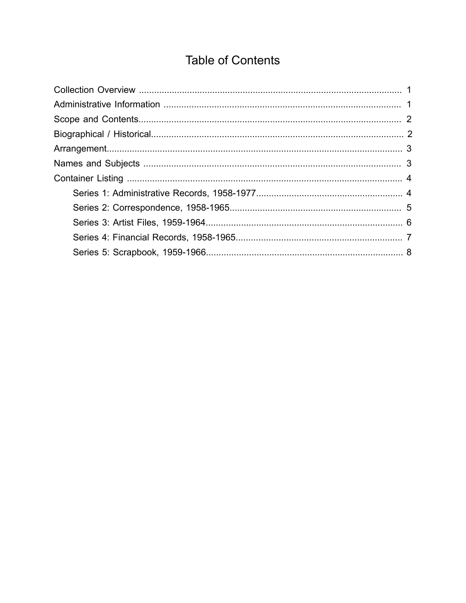# **Table of Contents**

<span id="page-1-0"></span>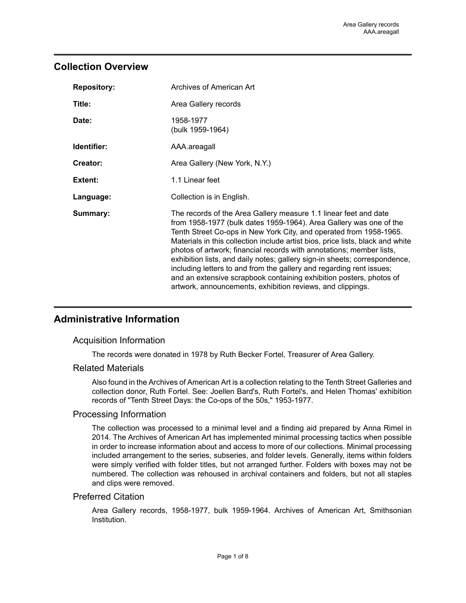## <span id="page-2-0"></span>**Collection Overview**

| <b>Repository:</b> | Archives of American Art                                                                                                                                                                                                                                                                                                                                                                                                                                                                                                                                                                                                                                          |
|--------------------|-------------------------------------------------------------------------------------------------------------------------------------------------------------------------------------------------------------------------------------------------------------------------------------------------------------------------------------------------------------------------------------------------------------------------------------------------------------------------------------------------------------------------------------------------------------------------------------------------------------------------------------------------------------------|
| Title:             | Area Gallery records                                                                                                                                                                                                                                                                                                                                                                                                                                                                                                                                                                                                                                              |
| Date:              | 1958-1977<br>(bulk 1959-1964)                                                                                                                                                                                                                                                                                                                                                                                                                                                                                                                                                                                                                                     |
| Identifier:        | AAA.areagall                                                                                                                                                                                                                                                                                                                                                                                                                                                                                                                                                                                                                                                      |
| Creator:           | Area Gallery (New York, N.Y.)                                                                                                                                                                                                                                                                                                                                                                                                                                                                                                                                                                                                                                     |
| Extent:            | 1.1 Linear feet                                                                                                                                                                                                                                                                                                                                                                                                                                                                                                                                                                                                                                                   |
| Language:          | Collection is in English.                                                                                                                                                                                                                                                                                                                                                                                                                                                                                                                                                                                                                                         |
| Summary:           | The records of the Area Gallery measure 1.1 linear feet and date<br>from 1958-1977 (bulk dates 1959-1964). Area Gallery was one of the<br>Tenth Street Co-ops in New York City, and operated from 1958-1965.<br>Materials in this collection include artist bios, price lists, black and white<br>photos of artwork; financial records with annotations; member lists,<br>exhibition lists, and daily notes; gallery sign-in sheets; correspondence,<br>including letters to and from the gallery and regarding rent issues;<br>and an extensive scrapbook containing exhibition posters, photos of<br>artwork, announcements, exhibition reviews, and clippings. |

# <span id="page-2-1"></span>**Administrative Information**

#### Acquisition Information

The records were donated in 1978 by Ruth Becker Fortel, Treasurer of Area Gallery.

#### Related Materials

Also found in the Archives of American Art is a collection relating to the Tenth Street Galleries and collection donor, Ruth Fortel. See: Joellen Bard's, Ruth Fortel's, and Helen Thomas' exhibition records of "Tenth Street Days: the Co-ops of the 50s," 1953-1977.

#### Processing Information

The collection was processed to a minimal level and a finding aid prepared by Anna Rimel in 2014. The Archives of American Art has implemented minimal processing tactics when possible in order to increase information about and access to more of our collections. Minimal processing included arrangement to the series, subseries, and folder levels. Generally, items within folders were simply verified with folder titles, but not arranged further. Folders with boxes may not be numbered. The collection was rehoused in archival containers and folders, but not all staples and clips were removed.

#### Preferred Citation

Area Gallery records, 1958-1977, bulk 1959-1964. Archives of American Art, Smithsonian Institution.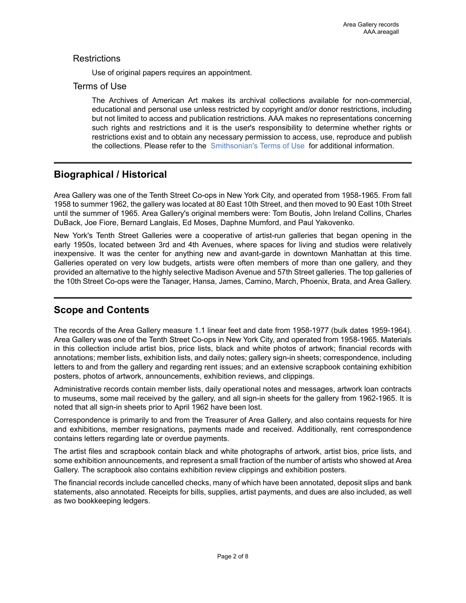#### **Restrictions**

Use of original papers requires an appointment.

#### Terms of Use

The Archives of American Art makes its archival collections available for non-commercial, educational and personal use unless restricted by copyright and/or donor restrictions, including but not limited to access and publication restrictions. AAA makes no representations concerning such rights and restrictions and it is the user's responsibility to determine whether rights or restrictions exist and to obtain any necessary permission to access, use, reproduce and publish the collections. Please refer to the [Smithsonian's](https://www.si.edu/termsofuse) Terms of Use for additional information.

# <span id="page-3-1"></span>**Biographical / Historical**

Area Gallery was one of the Tenth Street Co-ops in New York City, and operated from 1958-1965. From fall 1958 to summer 1962, the gallery was located at 80 East 10th Street, and then moved to 90 East 10th Street until the summer of 1965. Area Gallery's original members were: Tom Boutis, John Ireland Collins, Charles DuBack, Joe Fiore, Bernard Langlais, Ed Moses, Daphne Mumford, and Paul Yakovenko.

New York's Tenth Street Galleries were a cooperative of artist-run galleries that began opening in the early 1950s, located between 3rd and 4th Avenues, where spaces for living and studios were relatively inexpensive. It was the center for anything new and avant-garde in downtown Manhattan at this time. Galleries operated on very low budgets, artists were often members of more than one gallery, and they provided an alternative to the highly selective Madison Avenue and 57th Street galleries. The top galleries of the 10th Street Co-ops were the Tanager, Hansa, James, Camino, March, Phoenix, Brata, and Area Gallery.

## <span id="page-3-0"></span>**Scope and Contents**

The records of the Area Gallery measure 1.1 linear feet and date from 1958-1977 (bulk dates 1959-1964). Area Gallery was one of the Tenth Street Co-ops in New York City, and operated from 1958-1965. Materials in this collection include artist bios, price lists, black and white photos of artwork; financial records with annotations; member lists, exhibition lists, and daily notes; gallery sign-in sheets; correspondence, including letters to and from the gallery and regarding rent issues; and an extensive scrapbook containing exhibition posters, photos of artwork, announcements, exhibition reviews, and clippings.

Administrative records contain member lists, daily operational notes and messages, artwork loan contracts to museums, some mail received by the gallery, and all sign-in sheets for the gallery from 1962-1965. It is noted that all sign-in sheets prior to April 1962 have been lost.

Correspondence is primarily to and from the Treasurer of Area Gallery, and also contains requests for hire and exhibitions, member resignations, payments made and received. Additionally, rent correspondence contains letters regarding late or overdue payments.

The artist files and scrapbook contain black and white photographs of artwork, artist bios, price lists, and some exhibition announcements, and represent a small fraction of the number of artists who showed at Area Gallery. The scrapbook also contains exhibition review clippings and exhibition posters.

The financial records include cancelled checks, many of which have been annotated, deposit slips and bank statements, also annotated. Receipts for bills, supplies, artist payments, and dues are also included, as well as two bookkeeping ledgers.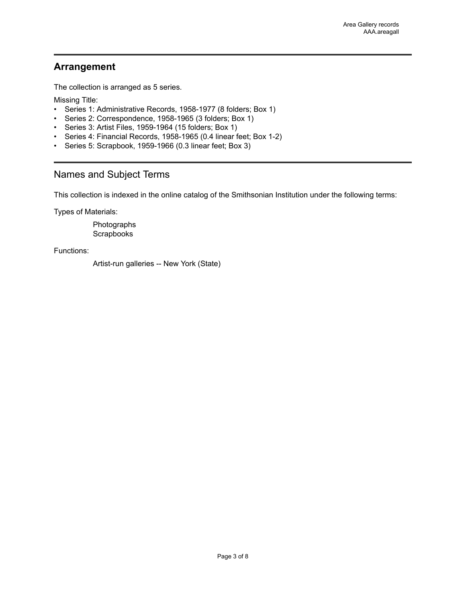## <span id="page-4-0"></span>**Arrangement**

The collection is arranged as 5 series.

Missing Title:

- Series 1: Administrative Records, 1958-1977 (8 folders; Box 1)
- Series 2: Correspondence, 1958-1965 (3 folders; Box 1)
- Series 3: Artist Files, 1959-1964 (15 folders; Box 1)
- Series 4: Financial Records, 1958-1965 (0.4 linear feet; Box 1-2)
- Series 5: Scrapbook, 1959-1966 (0.3 linear feet; Box 3)

### <span id="page-4-1"></span>Names and Subject Terms

This collection is indexed in the online catalog of the Smithsonian Institution under the following terms:

Types of Materials:

Photographs Scrapbooks

Functions:

Artist-run galleries -- New York (State)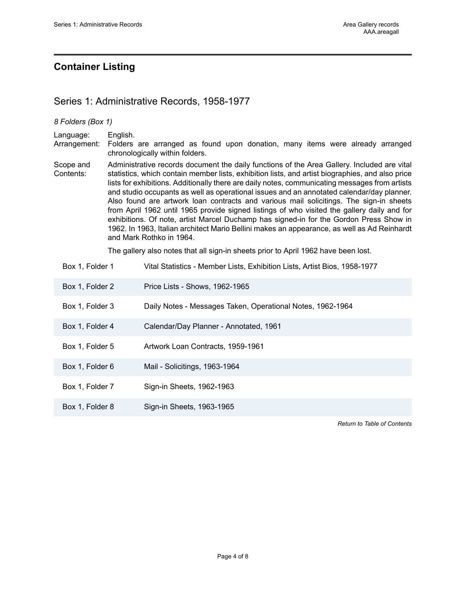## <span id="page-5-0"></span>**Container Listing**

#### <span id="page-5-1"></span>Series 1: Administrative Records, 1958-1977

#### *8 Folders (Box 1)* Language: English. Arrangement: Folders are arranged as found upon donation, many items were already arranged chronologically within folders. Scope and Contents: Administrative records document the daily functions of the Area Gallery. Included are vital statistics, which contain member lists, exhibition lists, and artist biographies, and also price lists for exhibitions. Additionally there are daily notes, communicating messages from artists and studio occupants as well as operational issues and an annotated calendar/day planner. Also found are artwork loan contracts and various mail solicitings. The sign-in sheets from April 1962 until 1965 provide signed listings of who visited the gallery daily and for exhibitions. Of note, artist Marcel Duchamp has signed-in for the Gordon Press Show in 1962. In 1963, Italian architect Mario Bellini makes an appearance, as well as Ad Reinhardt and Mark Rothko in 1964. The gallery also notes that all sign-in sheets prior to April 1962 have been lost. Box 1, Folder 1 Vital Statistics - Member Lists, Exhibition Lists, Artist Bios, 1958-1977

| Box 1, Folder 2 | Price Lists - Shows, 1962-1965                             |
|-----------------|------------------------------------------------------------|
| Box 1, Folder 3 | Daily Notes - Messages Taken, Operational Notes, 1962-1964 |
| Box 1, Folder 4 | Calendar/Day Planner - Annotated, 1961                     |
| Box 1, Folder 5 | Artwork Loan Contracts, 1959-1961                          |
| Box 1, Folder 6 | Mail - Solicitings, 1963-1964                              |
| Box 1, Folder 7 | Sign-in Sheets, 1962-1963                                  |
| Box 1, Folder 8 | Sign-in Sheets, 1963-1965                                  |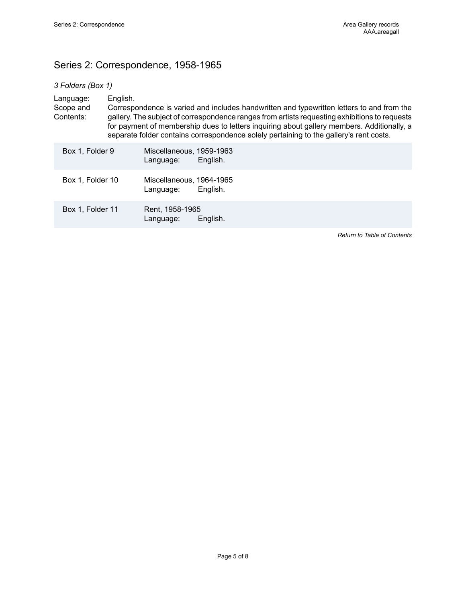# <span id="page-6-0"></span>Series 2: Correspondence, 1958-1965

| 3 Folders (Box 1) |  |
|-------------------|--|
|                   |  |

|  | Language:<br>Scope and<br>Contents: | English. |                                       | Correspondence is varied and includes handwritten and typewritten letters to and from the<br>gallery. The subject of correspondence ranges from artists requesting exhibitions to requests<br>for payment of membership dues to letters inquiring about gallery members. Additionally, a<br>separate folder contains correspondence solely pertaining to the gallery's rent costs. |
|--|-------------------------------------|----------|---------------------------------------|------------------------------------------------------------------------------------------------------------------------------------------------------------------------------------------------------------------------------------------------------------------------------------------------------------------------------------------------------------------------------------|
|  | Box 1, Folder 9                     |          | Miscellaneous, 1959-1963<br>Language: | English.                                                                                                                                                                                                                                                                                                                                                                           |
|  | Box 1, Folder 10                    |          | Miscellaneous, 1964-1965<br>Language: | English.                                                                                                                                                                                                                                                                                                                                                                           |
|  | Box 1, Folder 11                    |          | Rent, 1958-1965<br>Language:          | English.                                                                                                                                                                                                                                                                                                                                                                           |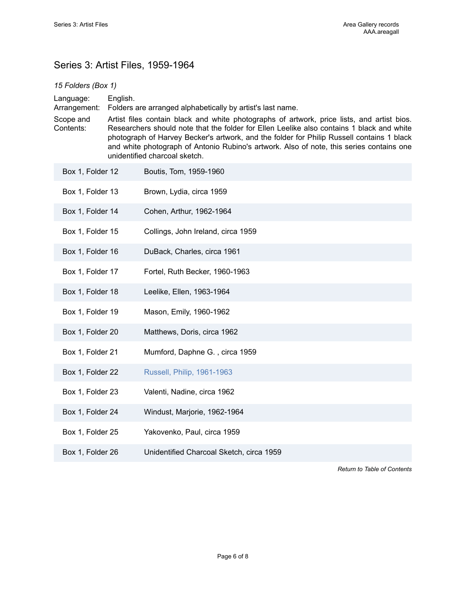# <span id="page-7-0"></span>Series 3: Artist Files, 1959-1964

| 15 Folders (Box 1)                                  |                                                                                                                                                                                                                                                                                                                                                                                                                                                                                             |                                          |  |
|-----------------------------------------------------|---------------------------------------------------------------------------------------------------------------------------------------------------------------------------------------------------------------------------------------------------------------------------------------------------------------------------------------------------------------------------------------------------------------------------------------------------------------------------------------------|------------------------------------------|--|
| Language:<br>Arrangement:<br>Scope and<br>Contents: | English.<br>Folders are arranged alphabetically by artist's last name.<br>Artist files contain black and white photographs of artwork, price lists, and artist bios.<br>Researchers should note that the folder for Ellen Leelike also contains 1 black and white<br>photograph of Harvey Becker's artwork, and the folder for Philip Russell contains 1 black<br>and white photograph of Antonio Rubino's artwork. Also of note, this series contains one<br>unidentified charcoal sketch. |                                          |  |
| Box 1, Folder 12                                    |                                                                                                                                                                                                                                                                                                                                                                                                                                                                                             | Boutis, Tom, 1959-1960                   |  |
| Box 1, Folder 13                                    |                                                                                                                                                                                                                                                                                                                                                                                                                                                                                             | Brown, Lydia, circa 1959                 |  |
| Box 1, Folder 14                                    |                                                                                                                                                                                                                                                                                                                                                                                                                                                                                             | Cohen, Arthur, 1962-1964                 |  |
| Box 1, Folder 15                                    |                                                                                                                                                                                                                                                                                                                                                                                                                                                                                             | Collings, John Ireland, circa 1959       |  |
| Box 1, Folder 16                                    |                                                                                                                                                                                                                                                                                                                                                                                                                                                                                             | DuBack, Charles, circa 1961              |  |
| Box 1, Folder 17                                    |                                                                                                                                                                                                                                                                                                                                                                                                                                                                                             | Fortel, Ruth Becker, 1960-1963           |  |
| Box 1, Folder 18                                    |                                                                                                                                                                                                                                                                                                                                                                                                                                                                                             | Leelike, Ellen, 1963-1964                |  |
| Box 1, Folder 19                                    |                                                                                                                                                                                                                                                                                                                                                                                                                                                                                             | Mason, Emily, 1960-1962                  |  |
| Box 1, Folder 20                                    |                                                                                                                                                                                                                                                                                                                                                                                                                                                                                             | Matthews, Doris, circa 1962              |  |
| Box 1, Folder 21                                    |                                                                                                                                                                                                                                                                                                                                                                                                                                                                                             | Mumford, Daphne G., circa 1959           |  |
| Box 1, Folder 22                                    |                                                                                                                                                                                                                                                                                                                                                                                                                                                                                             | Russell, Philip, 1961-1963               |  |
| Box 1, Folder 23                                    |                                                                                                                                                                                                                                                                                                                                                                                                                                                                                             | Valenti, Nadine, circa 1962              |  |
| Box 1, Folder 24                                    |                                                                                                                                                                                                                                                                                                                                                                                                                                                                                             | Windust, Marjorie, 1962-1964             |  |
| Box 1, Folder 25                                    |                                                                                                                                                                                                                                                                                                                                                                                                                                                                                             | Yakovenko, Paul, circa 1959              |  |
| Box 1, Folder 26                                    |                                                                                                                                                                                                                                                                                                                                                                                                                                                                                             | Unidentified Charcoal Sketch, circa 1959 |  |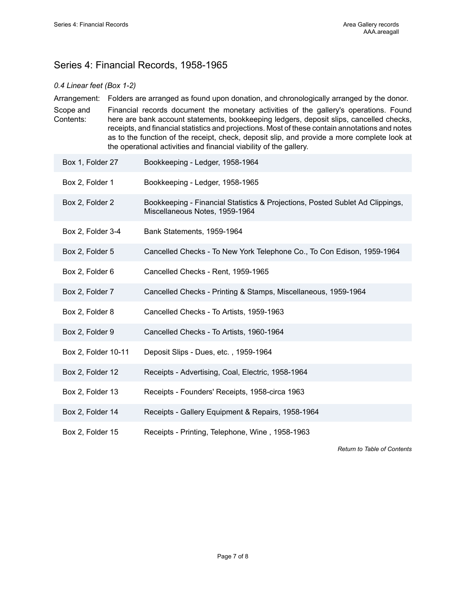# <span id="page-8-0"></span>Series 4: Financial Records, 1958-1965

#### *0.4 Linear feet (Box 1-2)*

Arrangement: Folders are arranged as found upon donation, and chronologically arranged by the donor. Scope and Contents: Financial records document the monetary activities of the gallery's operations. Found here are bank account statements, bookkeeping ledgers, deposit slips, cancelled checks, receipts, and financial statistics and projections. Most of these contain annotations and notes as to the function of the receipt, check, deposit slip, and provide a more complete look at the operational activities and financial viability of the gallery.

- Box 1, Folder 27 Bookkeeping Ledger, 1958-1964
- Box 2, Folder 1 Bookkeeping Ledger, 1958-1965
- Box 2, Folder 2 Bookkeeping Financial Statistics & Projections, Posted Sublet Ad Clippings, Miscellaneous Notes, 1959-1964
- Box 2, Folder 3-4 Bank Statements, 1959-1964
- Box 2, Folder 5 Cancelled Checks To New York Telephone Co., To Con Edison, 1959-1964
- Box 2, Folder 6 Cancelled Checks Rent, 1959-1965
- Box 2, Folder 7 Cancelled Checks Printing & Stamps, Miscellaneous, 1959-1964
- Box 2, Folder 8 Cancelled Checks To Artists, 1959-1963
- Box 2, Folder 9 Cancelled Checks To Artists, 1960-1964
- Box 2, Folder 10-11 Deposit Slips Dues, etc. , 1959-1964
- Box 2, Folder 12 Receipts Advertising, Coal, Electric, 1958-1964
- Box 2, Folder 13 Receipts Founders' Receipts, 1958-circa 1963
- Box 2, Folder 14 Receipts Gallery Equipment & Repairs, 1958-1964
- Box 2, Folder 15 Receipts Printing, Telephone, Wine , 1958-1963